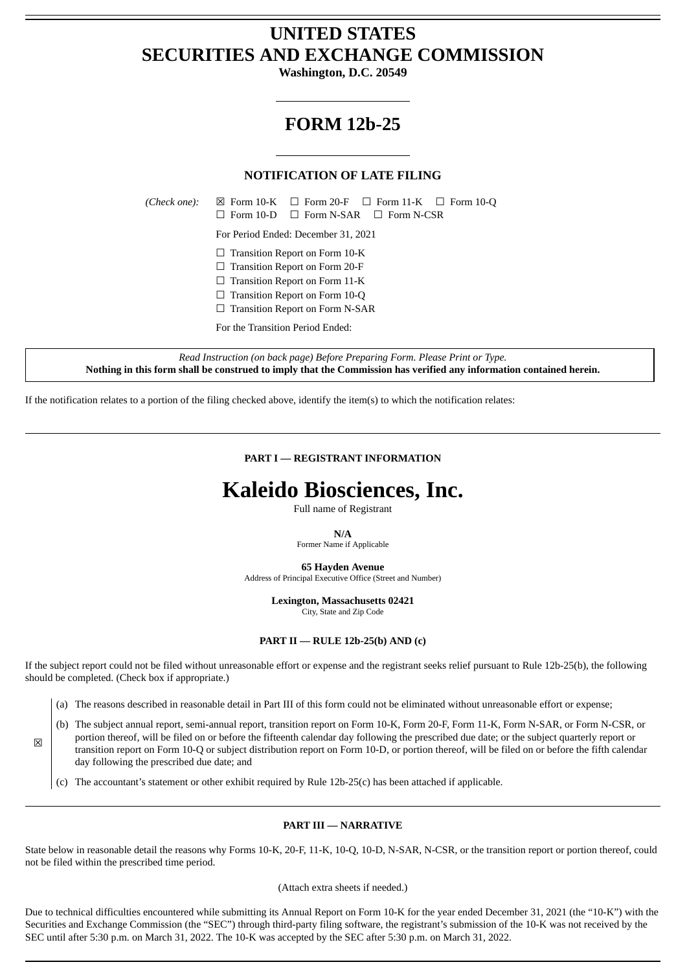## **UNITED STATES SECURITIES AND EXCHANGE COMMISSION**

**Washington, D.C. 20549**

## **FORM 12b-25**

## **NOTIFICATION OF LATE FILING**

*(Check one):*  $\boxtimes$  Form 10-K  $\Box$  Form 20-F  $\Box$  Form 11-K  $\Box$  Form 10-Q ☐ Form 10-D ☐ Form N-SAR ☐ Form N-CSR

For Period Ended: December 31, 2021

□ Transition Report on Form 10-K

☐ Transition Report on Form 20-F

 $\Box$  Transition Report on Form 11-K

□ Transition Report on Form 10-Q

☐ Transition Report on Form N-SAR

For the Transition Period Ended:

*Read Instruction (on back page) Before Preparing Form. Please Print or Type.* Nothing in this form shall be construed to imply that the Commission has verified any information contained herein.

If the notification relates to a portion of the filing checked above, identify the item(s) to which the notification relates:

**PART I — REGISTRANT INFORMATION**

# **Kaleido Biosciences, Inc.**

Full name of Registrant

#### **N/A**

Former Name if Applicable

**65 Hayden Avenue**

Address of Principal Executive Office (Street and Number)

**Lexington, Massachusetts 02421**

City, State and Zip Code

#### **PART II — RULE 12b-25(b) AND (c)**

If the subject report could not be filed without unreasonable effort or expense and the registrant seeks relief pursuant to Rule 12b-25(b), the following should be completed. (Check box if appropriate.)

(a) The reasons described in reasonable detail in Part III of this form could not be eliminated without unreasonable effort or expense;

(b) The subject annual report, semi-annual report, transition report on Form 10-K, Form 20-F, Form 11-K, Form N-SAR, or Form N-CSR, or

portion thereof, will be filed on or before the fifteenth calendar day following the prescribed due date; or the subject quarterly report or transition report on Form 10-Q or subject distribution report on Form 10-D, or portion thereof, will be filed on or before the fifth calendar day following the prescribed due date; and

(c) The accountant's statement or other exhibit required by Rule 12b-25(c) has been attached if applicable.

 $\overline{\mathbf{x}}$ 

### **PART III — NARRATIVE**

State below in reasonable detail the reasons why Forms 10-K, 20-F, 11-K, 10-Q, 10-D, N-SAR, N-CSR, or the transition report or portion thereof, could not be filed within the prescribed time period.

#### (Attach extra sheets if needed.)

Due to technical difficulties encountered while submitting its Annual Report on Form 10-K for the year ended December 31, 2021 (the "10-K") with the Securities and Exchange Commission (the "SEC") through third-party filing software, the registrant's submission of the 10-K was not received by the SEC until after 5:30 p.m. on March 31, 2022. The 10-K was accepted by the SEC after 5:30 p.m. on March 31, 2022.